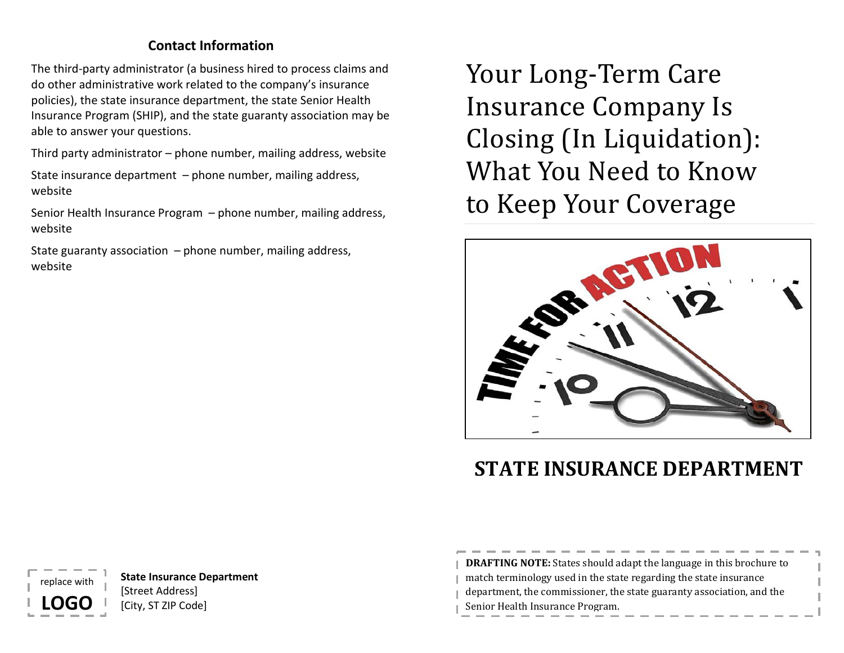# **Contact Information**

The third-party administrator (a business hired to process claims and do other administrative work related to the company's insurance policies), the state insurance department, the state Senior Health Insurance Program (SHIP), and the state guaranty association may be able to answer your questions.

Third party administrator – phone number, mailing address, website

State insurance department – phone number, mailing address, website

Senior Health Insurance Program – phone number, mailing address, website

State guaranty association  $-$  phone number, mailing address, website

Your Long-Term Care Insurance Company Is Closing (In Liquidation): What You Need to Know to Keep Your Coverage



# **STATE INSURANCE DEPARTMENT**

**DRAFTING NOTE:** States should adapt the language in this brochure to match terminology used in the state regarding the state insurance department, the commissioner, the state guaranty association, and the Senior Health Insurance Program.

**State Insurance Department** [Street Address] [City, ST ZIP Code]

nlace wit

**LOGO**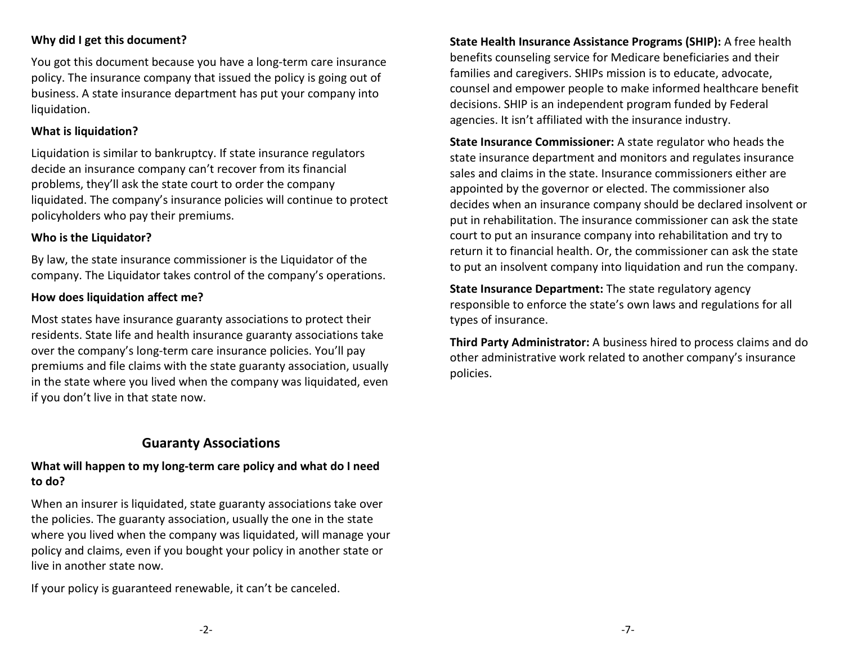# **Why did I get this document?**

You got this document because you have a long-term care insurance policy. The insurance company that issued the policy is going out of business. A state insurance department has put your company into liquidation.

#### **What is liquidation?**

Liquidation is similar to bankruptcy. If state insurance regulators decide an insurance company can't recover from its financial problems, they'll ask the state court to order the company liquidated. The company's insurance policies will continue to protect policyholders who pay their premiums.

#### **Who is the Liquidator?**

By law, the state insurance commissioner is the Liquidator of the company. The Liquidator takes control of the company's operations.

#### **How does liquidation affect me?**

Most states have insurance guaranty associations to protect their residents. State life and health insurance guaranty associations take over the company's long-term care insurance policies. You'll pay premiums and file claims with the state guaranty association, usually in the state where you lived when the company was liquidated, even if you don't live in that state now.

# **Guaranty Associations**

## **What will happen to my long-term care policy and what do I need to do?**

When an insurer is liquidated, state guaranty associations take over the policies. The guaranty association, usually the one in the state where you lived when the company was liquidated, will manage your policy and claims, even if you bought your policy in another state or live in another state now.

If your policy is guaranteed renewable, it can't be canceled.

**State Health Insurance Assistance Programs (SHIP):** A free health benefits counseling service for Medicare beneficiaries and their families and caregivers. SHIPs mission is to educate, advocate, counsel and empower people to make informed healthcare benefit decisions. SHIP is an independent program funded by Federal agencies. It isn't affiliated with the insurance industry.

**State Insurance Commissioner:** A state regulator who heads the state insurance department and monitors and regulates insurance sales and claims in the state. Insurance commissioners either are appointed by the governor or elected. The commissioner also decides when an insurance company should be declared insolvent or put in rehabilitation. The insurance commissioner can ask the state court to put an insurance company into rehabilitation and try to return it to financial health. Or, the commissioner can ask the state to put an insolvent company into liquidation and run the company.

**State Insurance Department:** The state regulatory agency responsible to enforce the state's own laws and regulations for all types of insurance.

**Third Party Administrator:** A business hired to process claims and do other administrative work related to another company's insurance policies.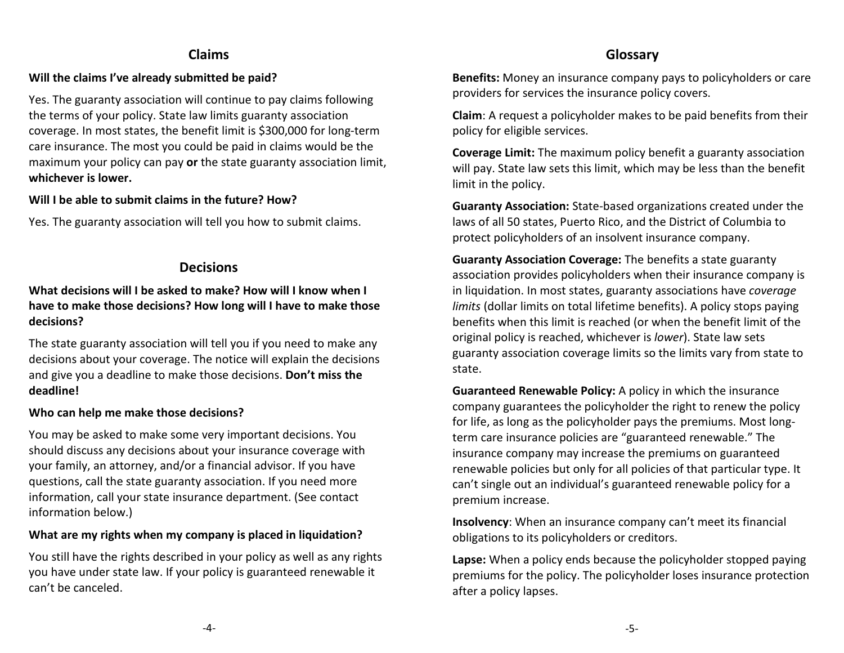# **Claims**

#### **Will the claims I've already submitted be paid?**

Yes. The guaranty association will continue to pay claims following the terms of your policy. State law limits guaranty association coverage. In most states, the benefit limit is \$300,000 for long-term care insurance. The most you could be paid in claims would be the maximum your policy can pay **or** the state guaranty association limit, **whichever is lower.**

#### **Will I be able to submit claims in the future? How?**

Yes. The guaranty association will tell you how to submit claims.

# **Decisions**

# **What decisions will I be asked to make? How will I know when I have to make those decisions? How long will I have to make those decisions?**

The state guaranty association will tell you if you need to make any decisions about your coverage. The notice will explain the decisions and give you a deadline to make those decisions. **Don't miss the deadline!**

#### **Who can help me make those decisions?**

You may be asked to make some very important decisions. You should discuss any decisions about your insurance coverage with your family, an attorney, and/or a financial advisor. If you have questions, call the state guaranty association. If you need more information, call your state insurance department. (See contact information below.)

#### **What are my rights when my company is placed in liquidation?**

You still have the rights described in your policy as well as any rights you have under state law. If your policy is guaranteed renewable it can't be canceled.

# **Glossary**

**Benefits:** Money an insurance company pays to policyholders or care providers for services the insurance policy covers.

**Claim**: A request a policyholder makes to be paid benefits from their policy for eligible services.

**Coverage Limit:** The maximum policy benefit a guaranty association will pay. State law sets this limit, which may be less than the benefit limit in the policy.

**Guaranty Association:** State-based organizations created under the laws of all 50 states, Puerto Rico, and the District of Columbia to protect policyholders of an insolvent insurance company.

**Guaranty Association Coverage:** The benefits a state guaranty association provides policyholders when their insurance company is in liquidation. In most states, guaranty associations have *coverage limits* (dollar limits on total lifetime benefits). A policy stops paying benefits when this limit is reached (or when the benefit limit of the original policy is reached, whichever is *lower*). State law sets guaranty association coverage limits so the limits vary from state to state.

**Guaranteed Renewable Policy:** A policy in which the insurance company guarantees the policyholder the right to renew the policy for life, as long as the policyholder pays the premiums. Most longterm care insurance policies are "guaranteed renewable." The insurance company may increase the premiums on guaranteed renewable policies but only for all policies of that particular type. It can't single out an individual's guaranteed renewable policy for a premium increase.

**Insolvency**: When an insurance company can't meet its financial obligations to its policyholders or creditors.

**Lapse:** When a policy ends because the policyholder stopped paying premiums for the policy. The policyholder loses insurance protection after a policy lapses.